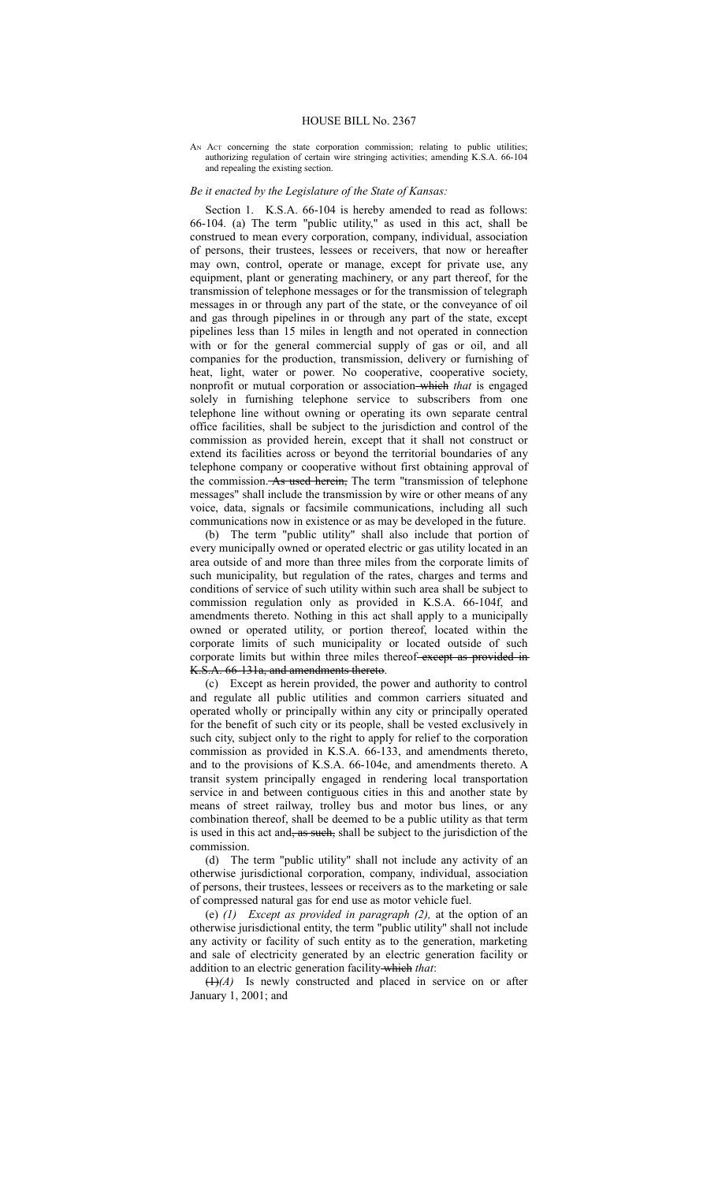## HOUSE BILL No. 2367

AN Act concerning the state corporation commission; relating to public utilities; authorizing regulation of certain wire stringing activities; amending K.S.A. 66-104 and repealing the existing section.

## *Be it enacted by the Legislature of the State of Kansas:*

Section 1. K.S.A. 66-104 is hereby amended to read as follows: 66-104. (a) The term "public utility," as used in this act, shall be construed to mean every corporation, company, individual, association of persons, their trustees, lessees or receivers, that now or hereafter may own, control, operate or manage, except for private use, any equipment, plant or generating machinery, or any part thereof, for the transmission of telephone messages or for the transmission of telegraph messages in or through any part of the state, or the conveyance of oil and gas through pipelines in or through any part of the state, except pipelines less than 15 miles in length and not operated in connection with or for the general commercial supply of gas or oil, and all companies for the production, transmission, delivery or furnishing of heat, light, water or power. No cooperative, cooperative society, nonprofit or mutual corporation or association which *that* is engaged solely in furnishing telephone service to subscribers from one telephone line without owning or operating its own separate central office facilities, shall be subject to the jurisdiction and control of the commission as provided herein, except that it shall not construct or extend its facilities across or beyond the territorial boundaries of any telephone company or cooperative without first obtaining approval of the commission. As used herein, The term "transmission of telephone messages" shall include the transmission by wire or other means of any voice, data, signals or facsimile communications, including all such communications now in existence or as may be developed in the future.

(b) The term "public utility" shall also include that portion of every municipally owned or operated electric or gas utility located in an area outside of and more than three miles from the corporate limits of such municipality, but regulation of the rates, charges and terms and conditions of service of such utility within such area shall be subject to commission regulation only as provided in K.S.A. 66-104f, and amendments thereto. Nothing in this act shall apply to a municipally owned or operated utility, or portion thereof, located within the corporate limits of such municipality or located outside of such corporate limits but within three miles thereof-except as provided in-K.S.A. 66-131a, and amendments thereto.

(c) Except as herein provided, the power and authority to control and regulate all public utilities and common carriers situated and operated wholly or principally within any city or principally operated for the benefit of such city or its people, shall be vested exclusively in such city, subject only to the right to apply for relief to the corporation commission as provided in K.S.A. 66-133, and amendments thereto, and to the provisions of K.S.A. 66-104e, and amendments thereto. A transit system principally engaged in rendering local transportation service in and between contiguous cities in this and another state by means of street railway, trolley bus and motor bus lines, or any combination thereof, shall be deemed to be a public utility as that term is used in this act and, as such, shall be subject to the jurisdiction of the commission.

(d) The term "public utility" shall not include any activity of an otherwise jurisdictional corporation, company, individual, association of persons, their trustees, lessees or receivers as to the marketing or sale of compressed natural gas for end use as motor vehicle fuel.

(e) *(1) Except as provided in paragraph (2),* at the option of an otherwise jurisdictional entity, the term "public utility" shall not include any activity or facility of such entity as to the generation, marketing and sale of electricity generated by an electric generation facility or addition to an electric generation facility which *that*:

(1)*(A)* Is newly constructed and placed in service on or after January 1, 2001; and